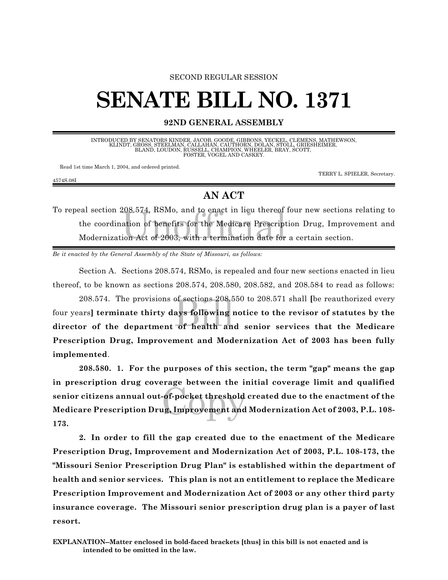## SECOND REGULAR SESSION

## **SENATE BILL NO. 1371**

**92ND GENERAL ASSEMBLY**

INTRODUCED BY SENATORS KINDER, JACOB, GOODE, GIBBONS, YECKEL, CLEMENS, MATHEWSON,<br>KLINDT, GROSS, STEELMAN, CALLAHAN, CAUTHORN, DOLAN, STOLL, GRIESHEIMER,<br>BLAND, LOUDON, RUSSELL, CHAMPION, DANGELER, BRAY, SCOTT,<br>FOSTER, VOG

Read 1st time March 1, 2004, and ordered printed.

TERRY L. SPIELER, Secretary.

4574S.08I

## **AN ACT**

eal section 208.574, RSMo, and to enact in lieu thereof four new sections<br>the coordination of benefits for the Medicare Prescription Drug, Improv<br>Modernization Act of 2003, with a termination date for a certain section. To repeal section 208.574, RSMo, and to enact in lieu thereof four new sections relating to the coordination of benefits for the Medicare Prescription Drug, Improvement and

*Be it enacted by the General Assembly of the State of Missouri, as follows:*

Section A. Sections 208.574, RSMo, is repealed and four new sections enacted in lieu thereof, to be known as sections 208.574, 208.580, 208.582, and 208.584 to read as follows:

208.574. The provisions of sections 208.550 to 208.571 shall [be reauthorized every<br>four years] **terminate thirty days following notice to the revisor of statutes by the**<br>director of the department of health and senior ser 208.574. The provisions of sections 208.550 to 208.571 shall **[**be reauthorized every four years**] terminate thirty days following notice to the revisor of statutes by the Prescription Drug, Improvement and Modernization Act of 2003 has been fully implemented**.

of-pocket threshold<br>ig, Improvement and **208.580. 1. For the purposes of this section, the term "gap" means the gap in prescription drug coverage between the initial coverage limit and qualified senior citizens annual out-of-pocket threshold created due to the enactment of the Medicare Prescription Drug, Improvement and Modernization Act of 2003, P.L. 108- 173.**

**2. In order to fill the gap created due to the enactment of the Medicare Prescription Drug, Improvement and Modernization Act of 2003, P.L. 108-173, the "Missouri Senior Prescription Drug Plan" is established within the department of health and senior services. This plan is not an entitlement to replace the Medicare Prescription Improvement and Modernization Act of 2003 or any other third party insurance coverage. The Missouri senior prescription drug plan is a payer of last resort.**

**EXPLANATION--Matter enclosed in bold-faced brackets [thus] in this bill is not enacted and is intended to be omitted in the law.**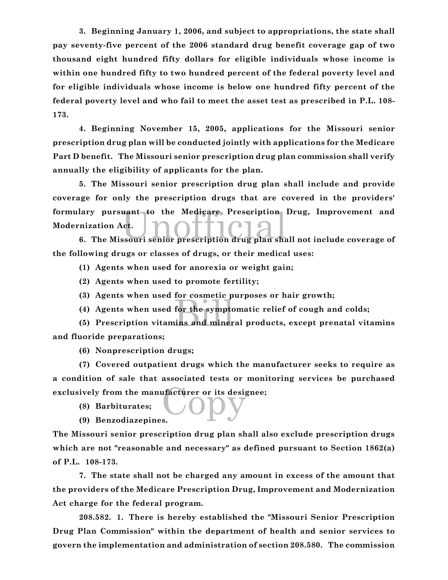**3. Beginning January 1, 2006, and subject to appropriations, the state shall pay seventy-five percent of the 2006 standard drug benefit coverage gap of two thousand eight hundred fifty dollars for eligible individuals whose income is within one hundred fifty to two hundred percent of the federal poverty level and for eligible individuals whose income is below one hundred fifty percent of the federal poverty level and who fail to meet the asset test as prescribed in P.L. 108- 173.**

**4. Beginning November 15, 2005, applications for the Missouri senior prescription drug plan will be conducted jointly with applications for the Medicare Part D benefit. The Missouri senior prescription drug plan commission shall verify annually the eligibility of applicants for the plan.**

lary pursuant to the Medicare Prescription Drug, Improvement and<br> **6.** The Missouri senior prescription drug plan shall not include coverage of **5. The Missouri senior prescription drug plan shall include and provide coverage for only the prescription drugs that are covered in the providers' formulary pursuant to the Medicare Prescription Drug, Improvement and Modernization Act.**

**the following drugs or classes of drugs, or their medical uses:**

**(1) Agents when used for anorexia or weight gain;**

- **(2) Agents when used to promote fertility;**
- **(3) Agents when used for cosmetic purposes or hair growth;**
- **(4) Agents when used for the symptomatic relief of cough and colds;**

for essinence p<br>for the sympto<br>ins and miner **(5) Prescription vitamins and mineral products, except prenatal vitamins and fluoride preparations;**

**(6) Nonprescription drugs;**

exclusively from the manufacturer or its designee;<br>
(8) Barbiturates;<br>
(9) Barzodiazanines **(7) Covered outpatient drugs which the manufacturer seeks to require as a condition of sale that associated tests or monitoring services be purchased**

**(8) Barbiturates;**

**(9) Benzodiazepines.**

**The Missouri senior prescription drug plan shall also exclude prescription drugs which are not "reasonable and necessary" as defined pursuant to Section 1862(a) of P.L. 108-173.**

**7. The state shall not be charged any amount in excess of the amount that the providers of the Medicare Prescription Drug, Improvement and Modernization Act charge for the federal program.**

**208.582. 1. There is hereby established the "Missouri Senior Prescription Drug Plan Commission" within the department of health and senior services to govern the implementation and administration of section 208.580. The commission**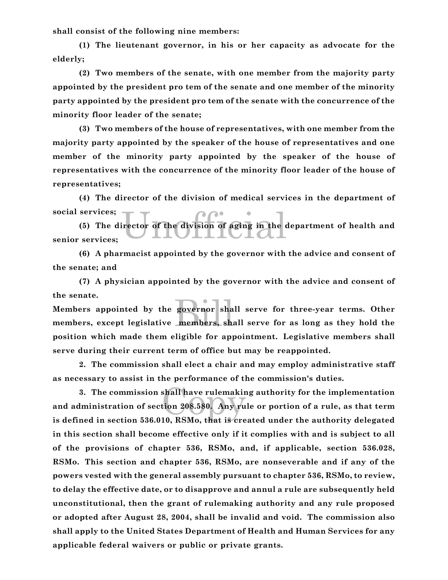**shall consist of the following nine members:**

**(1) The lieutenant governor, in his or her capacity as advocate for the elderly;**

**(2) Two members of the senate, with one member from the majority party appointed by the president pro tem of the senate and one member of the minority party appointed by the president pro tem of the senate with the concurrence of the minority floor leader of the senate;**

**(3) Two members of the house of representatives, with one member from the majority party appointed by the speaker of the house of representatives and one member of the minority party appointed by the speaker of the house of representatives with the concurrence of the minority floor leader of the house of representatives;**

**(4) The director of the division of medical services in the department of social services;**

irector of the division of aging in the **(5) The director of the division of aging in the department of health and senior services;**

**(6) A pharmacist appointed by the governor with the advice and consent of the senate; and**

**(7) A physician appointed by the governor with the advice and consent of the senate.**

governor sha<br>members, sha **Members appointed by the governor shall serve for three-year terms. Other members, except legislative members, shall serve for as long as they hold the position which made them eligible for appointment. Legislative members shall serve during their current term of office but may be reappointed.**

**2. The commission shall elect a chair and may employ administrative staff as necessary to assist in the performance of the commission's duties.**

shall have rulemakir<br>tion 208.580. Any ru<br>10. BSMo, that is cre **3. The commission shall have rulemaking authority for the implementation and administration of section 208.580. Any rule or portion of a rule, as that term is defined in section 536.010, RSMo, that is created under the authority delegated in this section shall become effective only if it complies with and is subject to all of the provisions of chapter 536, RSMo, and, if applicable, section 536.028, RSMo. This section and chapter 536, RSMo, are nonseverable and if any of the powers vested with the general assembly pursuant to chapter 536, RSMo, to review, to delay the effective date, or to disapprove and annul a rule are subsequently held unconstitutional, then the grant of rulemaking authority and any rule proposed or adopted after August 28, 2004, shall be invalid and void. The commission also shall apply to the United States Department of Health and Human Services for any applicable federal waivers or public or private grants.**